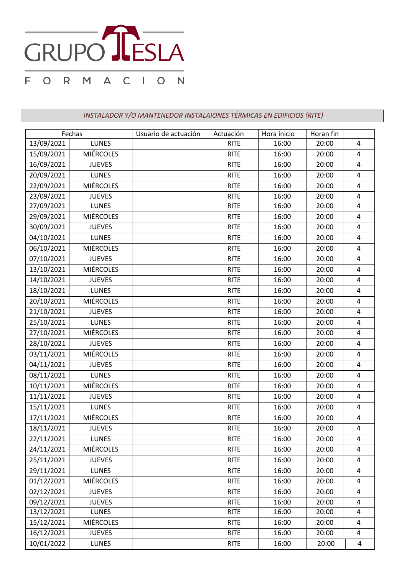

*INSTALADOR Y/O MANTENEDOR INSTALAIONES TÉRMICAS EN EDIFICIOS (RITE)*

| Fechas     |                  | Usuario de actuación | Actuación   | Hora inicio | Horan fin |                         |
|------------|------------------|----------------------|-------------|-------------|-----------|-------------------------|
| 13/09/2021 | <b>LUNES</b>     |                      | <b>RITE</b> | 16:00       | 20:00     | $\overline{4}$          |
| 15/09/2021 | <b>MIÉRCOLES</b> |                      | <b>RITE</b> | 16:00       | 20:00     | $\overline{4}$          |
| 16/09/2021 | <b>JUEVES</b>    |                      | <b>RITE</b> | 16:00       | 20:00     | 4                       |
| 20/09/2021 | <b>LUNES</b>     |                      | <b>RITE</b> | 16:00       | 20:00     | 4                       |
| 22/09/2021 | <b>MIÉRCOLES</b> |                      | <b>RITE</b> | 16:00       | 20:00     | 4                       |
| 23/09/2021 | <b>JUEVES</b>    |                      | <b>RITE</b> | 16:00       | 20:00     | $\overline{4}$          |
| 27/09/2021 | <b>LUNES</b>     |                      | <b>RITE</b> | 16:00       | 20:00     | 4                       |
| 29/09/2021 | <b>MIÉRCOLES</b> |                      | <b>RITE</b> | 16:00       | 20:00     | $\pmb{4}$               |
| 30/09/2021 | <b>JUEVES</b>    |                      | <b>RITE</b> | 16:00       | 20:00     | $\overline{4}$          |
| 04/10/2021 | <b>LUNES</b>     |                      | <b>RITE</b> | 16:00       | 20:00     | 4                       |
| 06/10/2021 | <b>MIÉRCOLES</b> |                      | <b>RITE</b> | 16:00       | 20:00     | $\overline{4}$          |
| 07/10/2021 | <b>JUEVES</b>    |                      | <b>RITE</b> | 16:00       | 20:00     | 4                       |
| 13/10/2021 | <b>MIÉRCOLES</b> |                      | <b>RITE</b> | 16:00       | 20:00     | 4                       |
| 14/10/2021 | <b>JUEVES</b>    |                      | <b>RITE</b> | 16:00       | 20:00     | $\overline{4}$          |
| 18/10/2021 | <b>LUNES</b>     |                      | <b>RITE</b> | 16:00       | 20:00     | $\overline{4}$          |
| 20/10/2021 | <b>MIÉRCOLES</b> |                      | <b>RITE</b> | 16:00       | 20:00     | $\overline{4}$          |
| 21/10/2021 | <b>JUEVES</b>    |                      | <b>RITE</b> | 16:00       | 20:00     | $\overline{4}$          |
| 25/10/2021 | <b>LUNES</b>     |                      | <b>RITE</b> | 16:00       | 20:00     | 4                       |
| 27/10/2021 | <b>MIÉRCOLES</b> |                      | <b>RITE</b> | 16:00       | 20:00     | $\overline{4}$          |
| 28/10/2021 | <b>JUEVES</b>    |                      | <b>RITE</b> | 16:00       | 20:00     | 4                       |
| 03/11/2021 | <b>MIÉRCOLES</b> |                      | <b>RITE</b> | 16:00       | 20:00     | $\overline{4}$          |
| 04/11/2021 | <b>JUEVES</b>    |                      | <b>RITE</b> | 16:00       | 20:00     | 4                       |
| 08/11/2021 | <b>LUNES</b>     |                      | <b>RITE</b> | 16:00       | 20:00     | 4                       |
| 10/11/2021 | <b>MIÉRCOLES</b> |                      | <b>RITE</b> | 16:00       | 20:00     | 4                       |
| 11/11/2021 | <b>JUEVES</b>    |                      | <b>RITE</b> | 16:00       | 20:00     | 4                       |
| 15/11/2021 | <b>LUNES</b>     |                      | <b>RITE</b> | 16:00       | 20:00     | $\overline{4}$          |
| 17/11/2021 | <b>MIÉRCOLES</b> |                      | <b>RITE</b> | 16:00       | 20:00     | 4                       |
| 18/11/2021 | <b>JUEVES</b>    |                      | <b>RITE</b> | 16:00       | 20:00     | $\overline{4}$          |
| 22/11/2021 | <b>LUNES</b>     |                      | <b>RITE</b> | 16:00       | 20:00     | 4                       |
| 24/11/2021 | <b>MIÉRCOLES</b> |                      | <b>RITE</b> | 16:00       | 20:00     | $\overline{a}$          |
| 25/11/2021 | <b>JUEVES</b>    |                      | <b>RITE</b> | 16:00       | 20:00     | $\overline{4}$          |
| 29/11/2021 | <b>LUNES</b>     |                      | <b>RITE</b> | 16:00       | 20:00     | 4                       |
| 01/12/2021 | <b>MIÉRCOLES</b> |                      | <b>RITE</b> | 16:00       | 20:00     | $\overline{\mathbf{4}}$ |
| 02/12/2021 | <b>JUEVES</b>    |                      | <b>RITE</b> | 16:00       | 20:00     | $\overline{a}$          |
| 09/12/2021 | <b>JUEVES</b>    |                      | <b>RITE</b> | 16:00       | 20:00     | 4                       |
| 13/12/2021 | <b>LUNES</b>     |                      | <b>RITE</b> | 16:00       | 20:00     | 4                       |
| 15/12/2021 | <b>MIÉRCOLES</b> |                      | <b>RITE</b> | 16:00       | 20:00     | 4                       |
| 16/12/2021 | <b>JUEVES</b>    |                      | <b>RITE</b> | 16:00       | 20:00     | 4                       |
| 10/01/2022 | <b>LUNES</b>     |                      | <b>RITE</b> | 16:00       | 20:00     | 4                       |